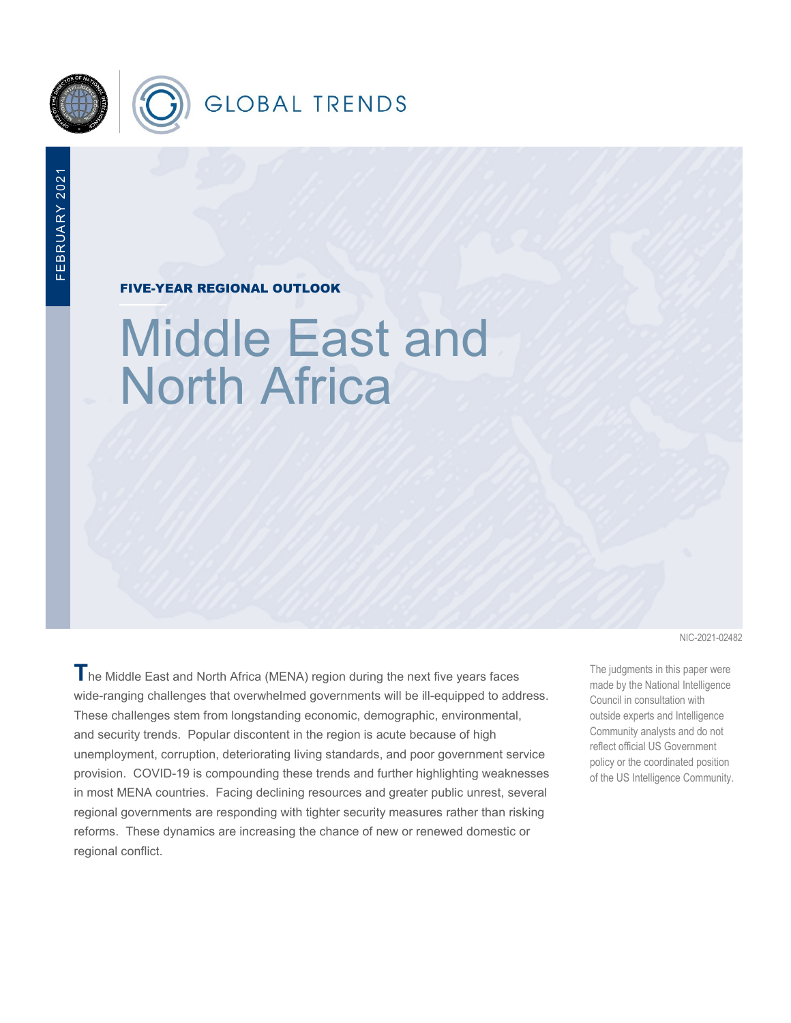

FIVE-YEAR REGIONAL OUTLOOK

# Middle East and North Africa

**T**he Middle East and North Africa (MENA) region during the next five years faces wide-ranging challenges that overwhelmed governments will be ill-equipped to address. These challenges stem from longstanding economic, demographic, environmental, and security trends. Popular discontent in the region is acute because of high unemployment, corruption, deteriorating living standards, and poor government service provision. COVID-19 is compounding these trends and further highlighting weaknesses in most MENA countries. Facing declining resources and greater public unrest, several regional governments are responding with tighter security measures rather than risking reforms. These dynamics are increasing the chance of new or renewed domestic or regional conflict.

NIC-2021-02482

The judgments in this paper were made by the National Intelligence Council in consultation with outside experts and Intelligence Community analysts and do not reflect official US Government policy or the coordinated position of the US Intelligence Community.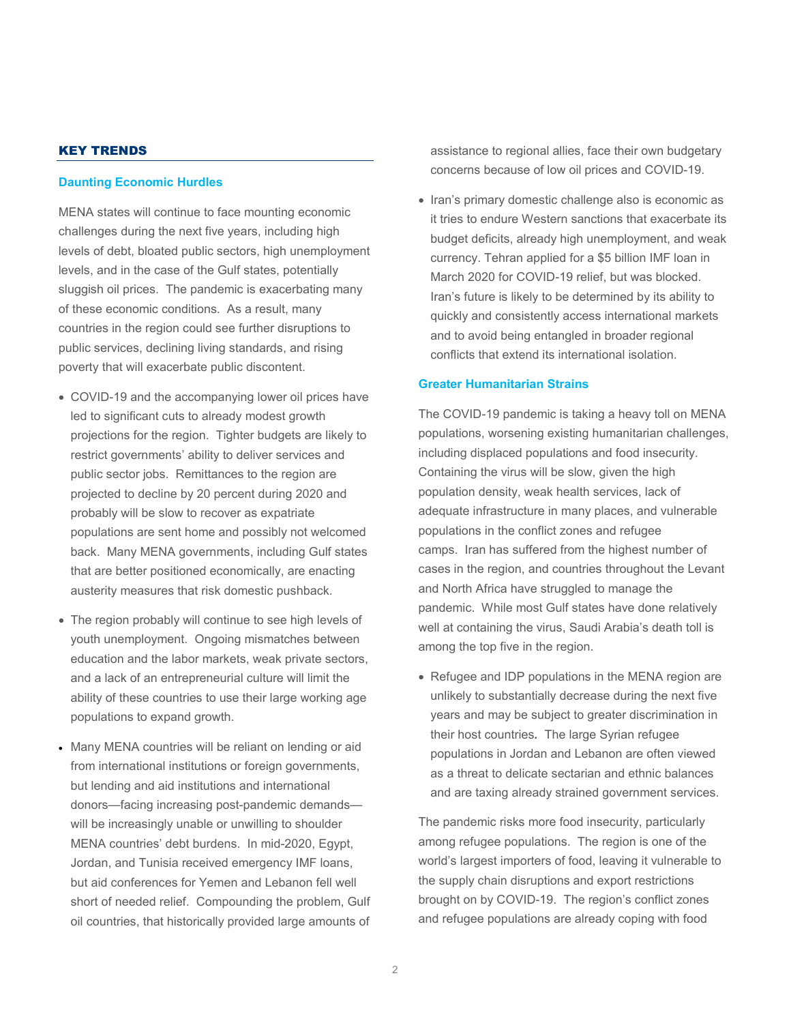# KEY TRENDS

#### **Daunting Economic Hurdles**

MENA states will continue to face mounting economic challenges during the next five years, including high levels of debt, bloated public sectors, high unemployment levels, and in the case of the Gulf states, potentially sluggish oil prices. The pandemic is exacerbating many of these economic conditions. As a result, many countries in the region could see further disruptions to public services, declining living standards, and rising poverty that will exacerbate public discontent.

- COVID-19 and the accompanying lower oil prices have led to significant cuts to already modest growth projections for the region. Tighter budgets are likely to restrict governments' ability to deliver services and public sector jobs. Remittances to the region are projected to decline by 20 percent during 2020 and probably will be slow to recover as expatriate populations are sent home and possibly not welcomed back. Many MENA governments, including Gulf states that are better positioned economically, are enacting austerity measures that risk domestic pushback.
- The region probably will continue to see high levels of youth unemployment.Ongoing mismatches between education and the labor markets, weak private sectors, and a lack of an entrepreneurial culture will limit the ability of these countries to use their large working age populations to expand growth.
- Many MENA countries will be reliant on lending or aid from international institutions or foreign governments, but lending and aid institutions and international donors—facing increasing post-pandemic demands will be increasingly unable or unwilling to shoulder MENA countries' debt burdens. In mid-2020, Egypt, Jordan, and Tunisia received emergency IMF loans, but aid conferences for Yemen and Lebanon fell well short of needed relief. Compounding the problem, Gulf oil countries, that historically provided large amounts of

assistance to regional allies, face their own budgetary concerns because of low oil prices and COVID-19.

• Iran's primary domestic challenge also is economic as it tries to endure Western sanctions that exacerbate its budget deficits, already high unemployment, and weak currency. Tehran applied for a \$5 billion IMF loan in March 2020 for COVID-19 relief, but was blocked. Iran's future is likely to be determined by its ability to quickly and consistently access international markets and to avoid being entangled in broader regional conflicts that extend its international isolation.

# **Greater Humanitarian Strains**

The COVID-19 pandemic is taking a heavy toll on MENA populations, worsening existing humanitarian challenges, including displaced populations and food insecurity. Containing the virus will be slow, given the high population density, weak health services, lack of adequate infrastructure in many places, and vulnerable populations in the conflict zones and refugee camps. Iran has suffered from the highest number of cases in the region, and countries throughout the Levant and North Africa have struggled to manage the pandemic. While most Gulf states have done relatively well at containing the virus, Saudi Arabia's death toll is among the top five in the region.

• Refugee and IDP populations in the MENA region are unlikely to substantially decrease during the next five years and may be subject to greater discrimination in their host countries*.* The large Syrian refugee populations in Jordan and Lebanon are often viewed as a threat to delicate sectarian and ethnic balances and are taxing already strained government services.

The pandemic risks more food insecurity, particularly among refugee populations. The region is one of the world's largest importers of food, leaving it vulnerable to the supply chain disruptions and export restrictions brought on by COVID-19. The region's conflict zones and refugee populations are already coping with food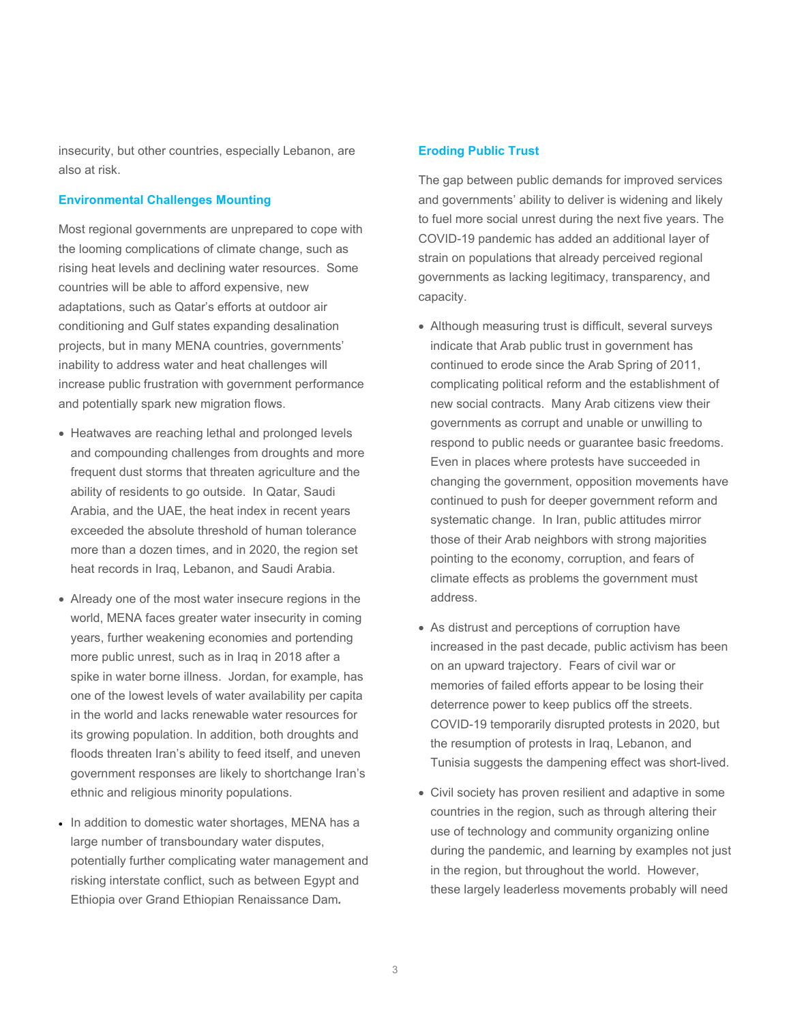insecurity, but other countries, especially Lebanon, are also at risk.

#### **Environmental Challenges Mounting**

Most regional governments are unprepared to cope with the looming complications of climate change, such as rising heat levels and declining water resources. Some countries will be able to afford expensive, new adaptations, such as Qatar's efforts at outdoor air conditioning and Gulf states expanding desalination projects, but in many MENA countries, governments' inability to address water and heat challenges will increase public frustration with government performance and potentially spark new migration flows.

- Heatwaves are reaching lethal and prolonged levels and compounding challenges from droughts and more frequent dust storms that threaten agriculture and the ability of residents to go outside. In Qatar, Saudi Arabia, and the UAE, the heat index in recent years exceeded the absolute threshold of human tolerance more than a dozen times, and in 2020, the region set heat records in Iraq, Lebanon, and Saudi Arabia.
- Already one of the most water insecure regions in the world, MENA faces greater water insecurity in coming years, further weakening economies and portending more public unrest, such as in Iraq in 2018 after a spike in water borne illness. Jordan, for example, has one of the lowest levels of water availability per capita in the world and lacks renewable water resources for its growing population. In addition, both droughts and floods threaten Iran's ability to feed itself, and uneven government responses are likely to shortchange Iran's ethnic and religious minority populations.
- In addition to domestic water shortages, MENA has a large number of transboundary water disputes, potentially further complicating water management and risking interstate conflict, such as between Egypt and Ethiopia over Grand Ethiopian Renaissance Dam*.*

# **Eroding Public Trust**

The gap between public demands for improved services and governments' ability to deliver is widening and likely to fuel more social unrest during the next five years. The COVID-19 pandemic has added an additional layer of strain on populations that already perceived regional governments as lacking legitimacy, transparency, and capacity.

- Although measuring trust is difficult, several surveys indicate that Arab public trust in government has continued to erode since the Arab Spring of 2011, complicating political reform and the establishment of new social contracts.Many Arab citizens view their governments as corrupt and unable or unwilling to respond to public needs or guarantee basic freedoms. Even in places where protests have succeeded in changing the government, opposition movements have continued to push for deeper government reform and systematic change. In Iran, public attitudes mirror those of their Arab neighbors with strong majorities pointing to the economy, corruption, and fears of climate effects as problems the government must address.
- As distrust and perceptions of corruption have increased in the past decade, public activism has been on an upward trajectory. Fears of civil war or memories of failed efforts appear to be losing their deterrence power to keep publics off the streets. COVID-19 temporarily disrupted protests in 2020, but the resumption of protests in Iraq, Lebanon, and Tunisia suggests the dampening effect was short-lived.
- Civil society has proven resilient and adaptive in some countries in the region, such as through altering their use of technology and community organizing online during the pandemic, and learning by examples not just in the region, but throughout the world. However, these largely leaderless movements probably will need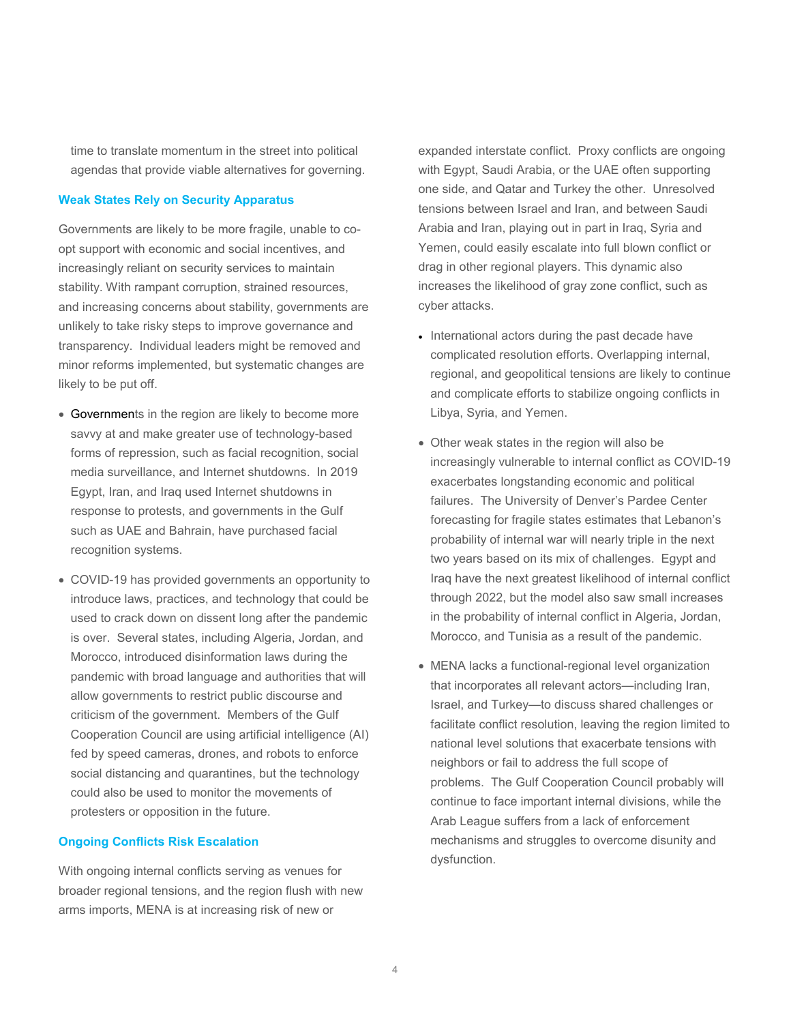time to translate momentum in the street into political agendas that provide viable alternatives for governing.

#### **Weak States Rely on Security Apparatus**

Governments are likely to be more fragile, unable to coopt support with economic and social incentives, and increasingly reliant on security services to maintain stability. With rampant corruption, strained resources, and increasing concerns about stability, governments are unlikely to take risky steps to improve governance and transparency. Individual leaders might be removed and minor reforms implemented, but systematic changes are likely to be put off.

- Governments in the region are likely to become more savvy at and make greater use of technology-based forms of repression, such as facial recognition, social media surveillance, and Internet shutdowns. In 2019 Egypt, Iran, and Iraq used Internet shutdowns in response to protests, and governments in the Gulf such as UAE and Bahrain, have purchased facial recognition systems.
- COVID-19 has provided governments an opportunity to introduce laws, practices, and technology that could be used to crack down on dissent long after the pandemic is over. Several states, including Algeria, Jordan, and Morocco, introduced disinformation laws during the pandemic with broad language and authorities that will allow governments to restrict public discourse and criticism of the government. Members of the Gulf Cooperation Council are using artificial intelligence (AI) fed by speed cameras, drones, and robots to enforce social distancing and quarantines, but the technology could also be used to monitor the movements of protesters or opposition in the future.

#### **Ongoing Conflicts Risk Escalation**

With ongoing internal conflicts serving as venues for broader regional tensions, and the region flush with new arms imports, MENA is at increasing risk of new or

expanded interstate conflict. Proxy conflicts are ongoing with Egypt, Saudi Arabia, or the UAE often supporting one side, and Qatar and Turkey the other. Unresolved tensions between Israel and Iran, and between Saudi Arabia and Iran, playing out in part in Iraq, Syria and Yemen, could easily escalate into full blown conflict or drag in other regional players. This dynamic also increases the likelihood of gray zone conflict, such as cyber attacks.

- International actors during the past decade have complicated resolution efforts. Overlapping internal, regional, and geopolitical tensions are likely to continue and complicate efforts to stabilize ongoing conflicts in Libya, Syria, and Yemen.
- Other weak states in the region will also be increasingly vulnerable to internal conflict as COVID-19 exacerbates longstanding economic and political failures. The University of Denver's Pardee Center forecasting for fragile states estimates that Lebanon's probability of internal war will nearly triple in the next two years based on its mix of challenges. Egypt and Iraq have the next greatest likelihood of internal conflict through 2022, but the model also saw small increases in the probability of internal conflict in Algeria, Jordan, Morocco, and Tunisia as a result of the pandemic.
- MENA lacks a functional-regional level organization that incorporates all relevant actors—including Iran, Israel, and Turkey—to discuss shared challenges or facilitate conflict resolution, leaving the region limited to national level solutions that exacerbate tensions with neighbors or fail to address the full scope of problems. The Gulf Cooperation Council probably will continue to face important internal divisions, while the Arab League suffers from a lack of enforcement mechanisms and struggles to overcome disunity and dysfunction.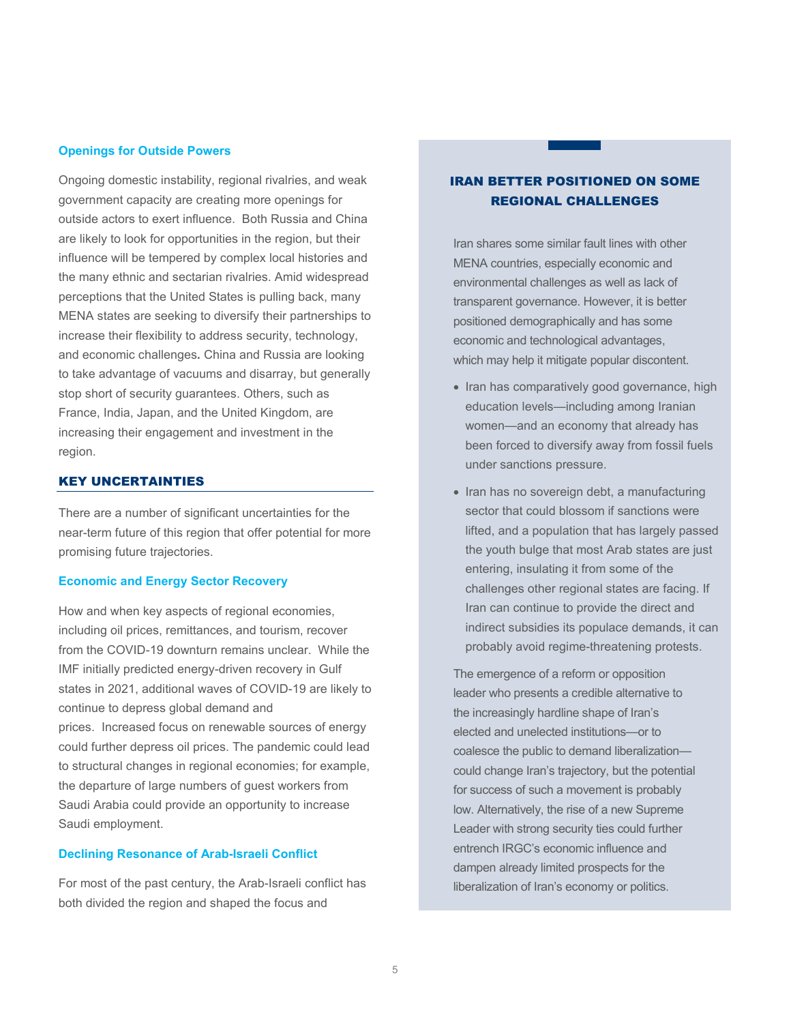#### **Openings for Outside Powers**

Ongoing domestic instability, regional rivalries, and weak government capacity are creating more openings for outside actors to exert influence. Both Russia and China are likely to look for opportunities in the region, but their influence will be tempered by complex local histories and the many ethnic and sectarian rivalries. Amid widespread perceptions that the United States is pulling back, many MENA states are seeking to diversify their partnerships to increase their flexibility to address security, technology, and economic challenges*.* China and Russia are looking to take advantage of vacuums and disarray, but generally stop short of security guarantees. Others, such as France, India, Japan, and the United Kingdom, are increasing their engagement and investment in the region.

#### KEY UNCERTAINTIES

There are a number of significant uncertainties for the near-term future of this region that offer potential for more promising future trajectories.

# **Economic and Energy Sector Recovery**

How and when key aspects of regional economies, including oil prices, remittances, and tourism, recover from the COVID-19 downturn remains unclear. While the IMF initially predicted energy-driven recovery in Gulf states in 2021, additional waves of COVID-19 are likely to continue to depress global demand and prices. Increased focus on renewable sources of energy could further depress oil prices. The pandemic could lead to structural changes in regional economies; for example, the departure of large numbers of guest workers from Saudi Arabia could provide an opportunity to increase Saudi employment.

# **Declining Resonance of Arab-Israeli Conflict**

For most of the past century, the Arab-Israeli conflict has both divided the region and shaped the focus and

# IRAN BETTER POSITIONED ON SOME REGIONAL CHALLENGES

Iran shares some similar fault lines with other MENA countries, especially economic and environmental challenges as well as lack of transparent governance. However, it is better positioned demographically and has some economic and technological advantages, which may help it mitigate popular discontent.

- Iran has comparatively good governance, high education levels—including among Iranian women—and an economy that already has been forced to diversify away from fossil fuels under sanctions pressure.
- Iran has no sovereign debt, a manufacturing sector that could blossom if sanctions were lifted, and a population that has largely passed the youth bulge that most Arab states are just entering, insulating it from some of the challenges other regional states are facing. If Iran can continue to provide the direct and indirect subsidies its populace demands, it can probably avoid regime-threatening protests.

The emergence of a reform or opposition leader who presents a credible alternative to the increasingly hardline shape of Iran's elected and unelected institutions—or to coalesce the public to demand liberalization could change Iran's trajectory, but the potential for success of such a movement is probably low. Alternatively, the rise of a new Supreme Leader with strong security ties could further entrench IRGC's economic influence and dampen already limited prospects for the liberalization of Iran's economy or politics.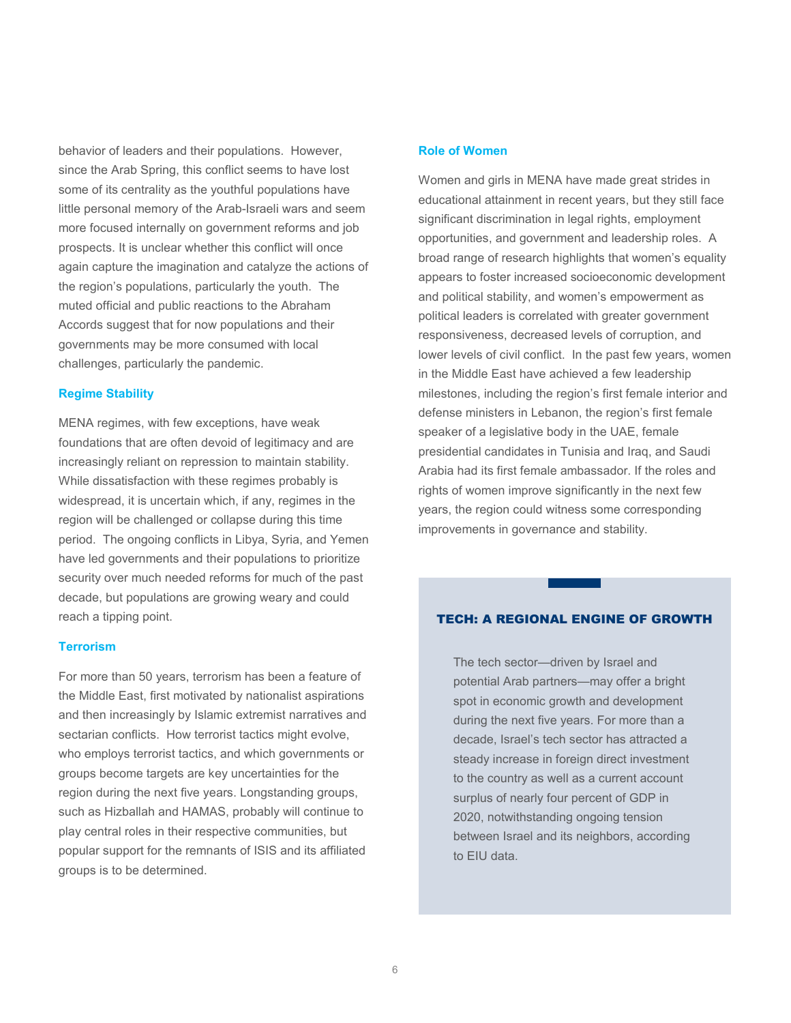behavior of leaders and their populations. However, since the Arab Spring, this conflict seems to have lost some of its centrality as the youthful populations have little personal memory of the Arab-Israeli wars and seem more focused internally on government reforms and job prospects. It is unclear whether this conflict will once again capture the imagination and catalyze the actions of the region's populations, particularly the youth. The muted official and public reactions to the Abraham Accords suggest that for now populations and their governments may be more consumed with local challenges, particularly the pandemic.

# **Regime Stability**

MENA regimes, with few exceptions, have weak foundations that are often devoid of legitimacy and are increasingly reliant on repression to maintain stability. While dissatisfaction with these regimes probably is widespread, it is uncertain which, if any, regimes in the region will be challenged or collapse during this time period. The ongoing conflicts in Libya, Syria, and Yemen have led governments and their populations to prioritize security over much needed reforms for much of the past decade, but populations are growing weary and could reach a tipping point.

#### **Terrorism**

For more than 50 years, terrorism has been a feature of the Middle East, first motivated by nationalist aspirations and then increasingly by Islamic extremist narratives and sectarian conflicts. How terrorist tactics might evolve, who employs terrorist tactics, and which governments or groups become targets are key uncertainties for the region during the next five years. Longstanding groups, such as Hizballah and HAMAS, probably will continue to play central roles in their respective communities, but popular support for the remnants of ISIS and its affiliated groups is to be determined.

# **Role of Women**

Women and girls in MENA have made great strides in educational attainment in recent years, but they still face significant discrimination in legal rights, employment opportunities, and government and leadership roles. A broad range of research highlights that women's equality appears to foster increased socioeconomic development and political stability, and women's empowerment as political leaders is correlated with greater government responsiveness, decreased levels of corruption, and lower levels of civil conflict. In the past few years, women in the Middle East have achieved a few leadership milestones, including the region's first female interior and defense ministers in Lebanon, the region's first female speaker of a legislative body in the UAE, female presidential candidates in Tunisia and Iraq, and Saudi Arabia had its first female ambassador. If the roles and rights of women improve significantly in the next few years, the region could witness some corresponding improvements in governance and stability.

# TECH: A REGIONAL ENGINE OF GROWTH

The tech sector—driven by Israel and potential Arab partners—may offer a bright spot in economic growth and development during the next five years. For more than a decade, Israel's tech sector has attracted a steady increase in foreign direct investment to the country as well as a current account surplus of nearly four percent of GDP in 2020, notwithstanding ongoing tension between Israel and its neighbors, according to EIU data.